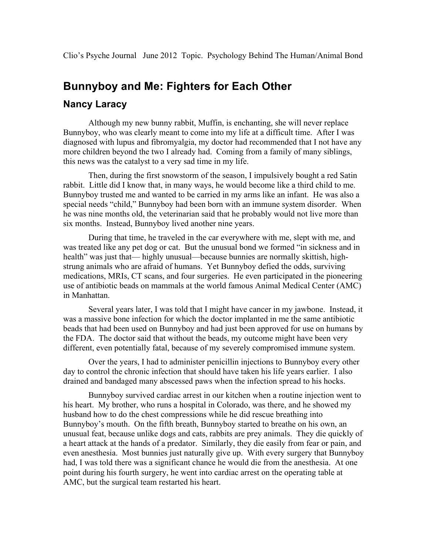## **Bunnyboy and Me: Fighters for Each Other**

## **Nancy Laracy**

Although my new bunny rabbit, Muffin, is enchanting, she will never replace Bunnyboy, who was clearly meant to come into my life at a difficult time. After I was diagnosed with lupus and fibromyalgia, my doctor had recommended that I not have any more children beyond the two I already had. Coming from a family of many siblings, this news was the catalyst to a very sad time in my life.

Then, during the first snowstorm of the season, I impulsively bought a red Satin rabbit. Little did I know that, in many ways, he would become like a third child to me. Bunnyboy trusted me and wanted to be carried in my arms like an infant. He was also a special needs "child," Bunnyboy had been born with an immune system disorder. When he was nine months old, the veterinarian said that he probably would not live more than six months. Instead, Bunnyboy lived another nine years.

During that time, he traveled in the car everywhere with me, slept with me, and was treated like any pet dog or cat. But the unusual bond we formed "in sickness and in health" was just that— highly unusual—because bunnies are normally skittish, highstrung animals who are afraid of humans. Yet Bunnyboy defied the odds, surviving medications, MRIs, CT scans, and four surgeries. He even participated in the pioneering use of antibiotic beads on mammals at the world famous Animal Medical Center (AMC) in Manhattan.

Several years later, I was told that I might have cancer in my jawbone. Instead, it was a massive bone infection for which the doctor implanted in me the same antibiotic beads that had been used on Bunnyboy and had just been approved for use on humans by the FDA. The doctor said that without the beads, my outcome might have been very different, even potentially fatal, because of my severely compromised immune system.

Over the years, I had to administer penicillin injections to Bunnyboy every other day to control the chronic infection that should have taken his life years earlier. I also drained and bandaged many abscessed paws when the infection spread to his hocks.

Bunnyboy survived cardiac arrest in our kitchen when a routine injection went to his heart. My brother, who runs a hospital in Colorado, was there, and he showed my husband how to do the chest compressions while he did rescue breathing into Bunnyboy's mouth. On the fifth breath, Bunnyboy started to breathe on his own, an unusual feat, because unlike dogs and cats, rabbits are prey animals. They die quickly of a heart attack at the hands of a predator. Similarly, they die easily from fear or pain, and even anesthesia. Most bunnies just naturally give up. With every surgery that Bunnyboy had, I was told there was a significant chance he would die from the anesthesia. At one point during his fourth surgery, he went into cardiac arrest on the operating table at AMC, but the surgical team restarted his heart.